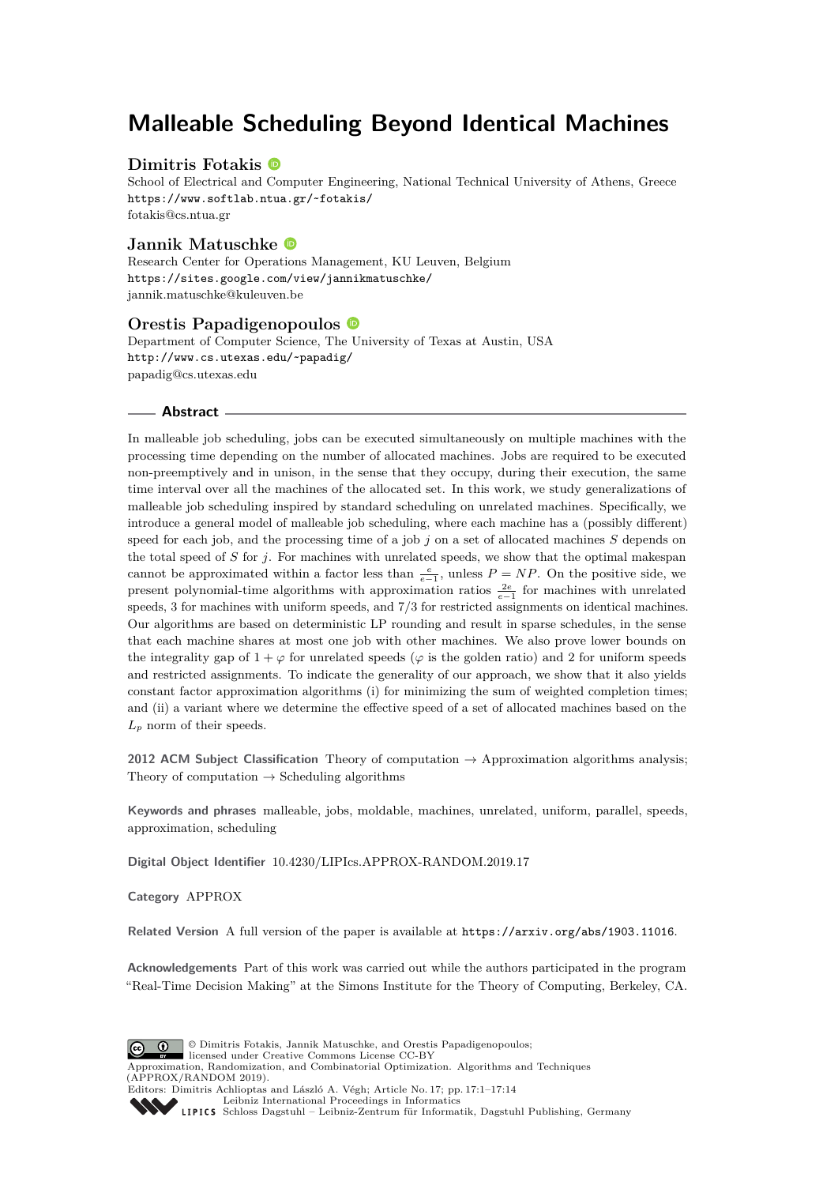# **Malleable Scheduling Beyond Identical Machines**

## **Dimitris Fotakis**

School of Electrical and Computer Engineering, National Technical University of Athens, Greece <https://www.softlab.ntua.gr/~fotakis/> [fotakis@cs.ntua.gr](mailto:fotakis@cs.ntua.gr)

## **Jannik Matuschke**

Research Center for Operations Management, KU Leuven, Belgium <https://sites.google.com/view/jannikmatuschke/> [jannik.matuschke@kuleuven.be](mailto:jannik.matuschke@kuleuven.be)

### **Orestis Papadigenopoulos**

Department of Computer Science, The University of Texas at Austin, USA <http://www.cs.utexas.edu/~papadig/> [papadig@cs.utexas.edu](mailto:papadig@cs.utexas.edu)

#### **Abstract**

In malleable job scheduling, jobs can be executed simultaneously on multiple machines with the processing time depending on the number of allocated machines. Jobs are required to be executed non-preemptively and in unison, in the sense that they occupy, during their execution, the same time interval over all the machines of the allocated set. In this work, we study generalizations of malleable job scheduling inspired by standard scheduling on unrelated machines. Specifically, we introduce a general model of malleable job scheduling, where each machine has a (possibly different) speed for each job, and the processing time of a job *j* on a set of allocated machines *S* depends on the total speed of *S* for *j*. For machines with unrelated speeds, we show that the optimal makespan cannot be approximated within a factor less than  $\frac{e}{e-1}$ , unless  $P = NP$ . On the positive side, we present polynomial-time algorithms with approximation ratios  $\frac{2e}{e-1}$  for machines with unrelated speeds, 3 for machines with uniform speeds, and 7*/*3 for restricted assignments on identical machines. Our algorithms are based on deterministic LP rounding and result in sparse schedules, in the sense that each machine shares at most one job with other machines. We also prove lower bounds on the integrality gap of  $1 + \varphi$  for unrelated speeds ( $\varphi$  is the golden ratio) and 2 for uniform speeds and restricted assignments. To indicate the generality of our approach, we show that it also yields constant factor approximation algorithms (i) for minimizing the sum of weighted completion times; and (ii) a variant where we determine the effective speed of a set of allocated machines based on the  $L_p$  norm of their speeds.

**2012 ACM Subject Classification** Theory of computation → Approximation algorithms analysis; Theory of computation  $\rightarrow$  Scheduling algorithms

**Keywords and phrases** malleable, jobs, moldable, machines, unrelated, uniform, parallel, speeds, approximation, scheduling

**Digital Object Identifier** [10.4230/LIPIcs.APPROX-RANDOM.2019.17](https://doi.org/10.4230/LIPIcs.APPROX-RANDOM.2019.17)

**Category** APPROX

**Related Version** A full version of the paper is available at <https://arxiv.org/abs/1903.11016>.

**Acknowledgements** Part of this work was carried out while the authors participated in the program "Real-Time Decision Making" at the Simons Institute for the Theory of Computing, Berkeley, CA.



© Dimitris Fotakis, Jannik Matuschke, and Orestis Papadigenopoulos;

licensed under Creative Commons License CC-BY

Approximation, Randomization, and Combinatorial Optimization. Algorithms and Techniques (APPROX/RANDOM 2019). Editors: Dimitris Achlioptas and László A. Végh; Article No. 17; pp. 17:1–17[:14](#page-13-0)



[Leibniz International Proceedings in Informatics](https://www.dagstuhl.de/lipics/) [Schloss Dagstuhl – Leibniz-Zentrum für Informatik, Dagstuhl Publishing, Germany](https://www.dagstuhl.de)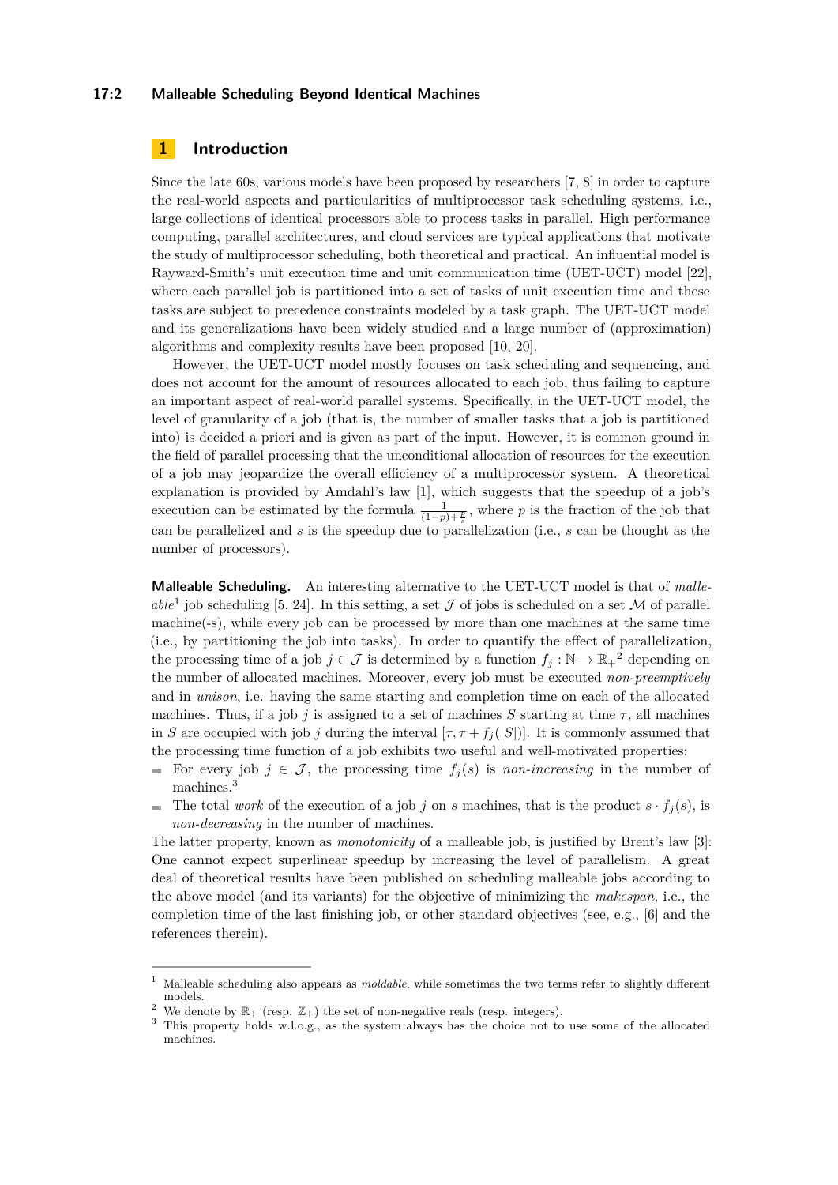#### **17:2 Malleable Scheduling Beyond Identical Machines**

## <span id="page-1-3"></span>**1 Introduction**

Since the late 60s, various models have been proposed by researchers [\[7,](#page-12-0) [8\]](#page-12-1) in order to capture the real-world aspects and particularities of multiprocessor task scheduling systems, i.e., large collections of identical processors able to process tasks in parallel. High performance computing, parallel architectures, and cloud services are typical applications that motivate the study of multiprocessor scheduling, both theoretical and practical. An influential model is Rayward-Smith's unit execution time and unit communication time (UET-UCT) model [\[22\]](#page-13-1), where each parallel job is partitioned into a set of tasks of unit execution time and these tasks are subject to precedence constraints modeled by a task graph. The UET-UCT model and its generalizations have been widely studied and a large number of (approximation) algorithms and complexity results have been proposed [\[10,](#page-12-2) [20\]](#page-13-2).

However, the UET-UCT model mostly focuses on task scheduling and sequencing, and does not account for the amount of resources allocated to each job, thus failing to capture an important aspect of real-world parallel systems. Specifically, in the UET-UCT model, the level of granularity of a job (that is, the number of smaller tasks that a job is partitioned into) is decided a priori and is given as part of the input. However, it is common ground in the field of parallel processing that the unconditional allocation of resources for the execution of a job may jeopardize the overall efficiency of a multiprocessor system. A theoretical explanation is provided by Amdahl's law [\[1\]](#page-12-3), which suggests that the speedup of a job's execution can be estimated by the formula  $\frac{1}{(1-p)+\frac{p}{s}}$ , where *p* is the fraction of the job that can be parallelized and *s* is the speedup due to parallelization (i.e., *s* can be thought as the number of processors).

**Malleable Scheduling.** An interesting alternative to the UET-UCT model is that of *malle-*able<sup>[1](#page-1-0)</sup> job scheduling [\[5,](#page-12-4) [24\]](#page-13-3). In this setting, a set  $J$  of jobs is scheduled on a set  $M$  of parallel machine(-s), while every job can be processed by more than one machines at the same time (i.e., by partitioning the job into tasks). In order to quantify the effect of parallelization, the processing time of a job  $j \in \mathcal{J}$  is determined by a function  $f_j : \mathbb{N} \to \mathbb{R}_+^2$  $f_j : \mathbb{N} \to \mathbb{R}_+^2$  depending on the number of allocated machines. Moreover, every job must be executed *non-preemptively* and in *unison*, i.e. having the same starting and completion time on each of the allocated machines. Thus, if a job *j* is assigned to a set of machines *S* starting at time  $\tau$ , all machines in *S* are occupied with job *j* during the interval  $[\tau, \tau + f_j(|S|)]$ . It is commonly assumed that the processing time function of a job exhibits two useful and well-motivated properties:

- For every job  $j \in \mathcal{J}$ , the processing time  $f_j(s)$  is *non-increasing* in the number of  $\blacksquare$ machines.[3](#page-1-2)
- The total *work* of the execution of a job *j* on *s* machines, that is the product  $s \cdot f_j(s)$ , is  $\blacksquare$ *non-decreasing* in the number of machines.

The latter property, known as *monotonicity* of a malleable job, is justified by Brent's law [\[3\]](#page-12-5): One cannot expect superlinear speedup by increasing the level of parallelism. A great deal of theoretical results have been published on scheduling malleable jobs according to the above model (and its variants) for the objective of minimizing the *makespan*, i.e., the completion time of the last finishing job, or other standard objectives (see, e.g., [\[6\]](#page-12-6) and the references therein).

<span id="page-1-0"></span><sup>1</sup> Malleable scheduling also appears as *moldable*, while sometimes the two terms refer to slightly different models.

<span id="page-1-1"></span><sup>&</sup>lt;sup>2</sup> We denote by  $\mathbb{R}_+$  (resp.  $\mathbb{Z}_+$ ) the set of non-negative reals (resp. integers).

<span id="page-1-2"></span><sup>&</sup>lt;sup>3</sup> This property holds w.l.o.g., as the system always has the choice not to use some of the allocated machines.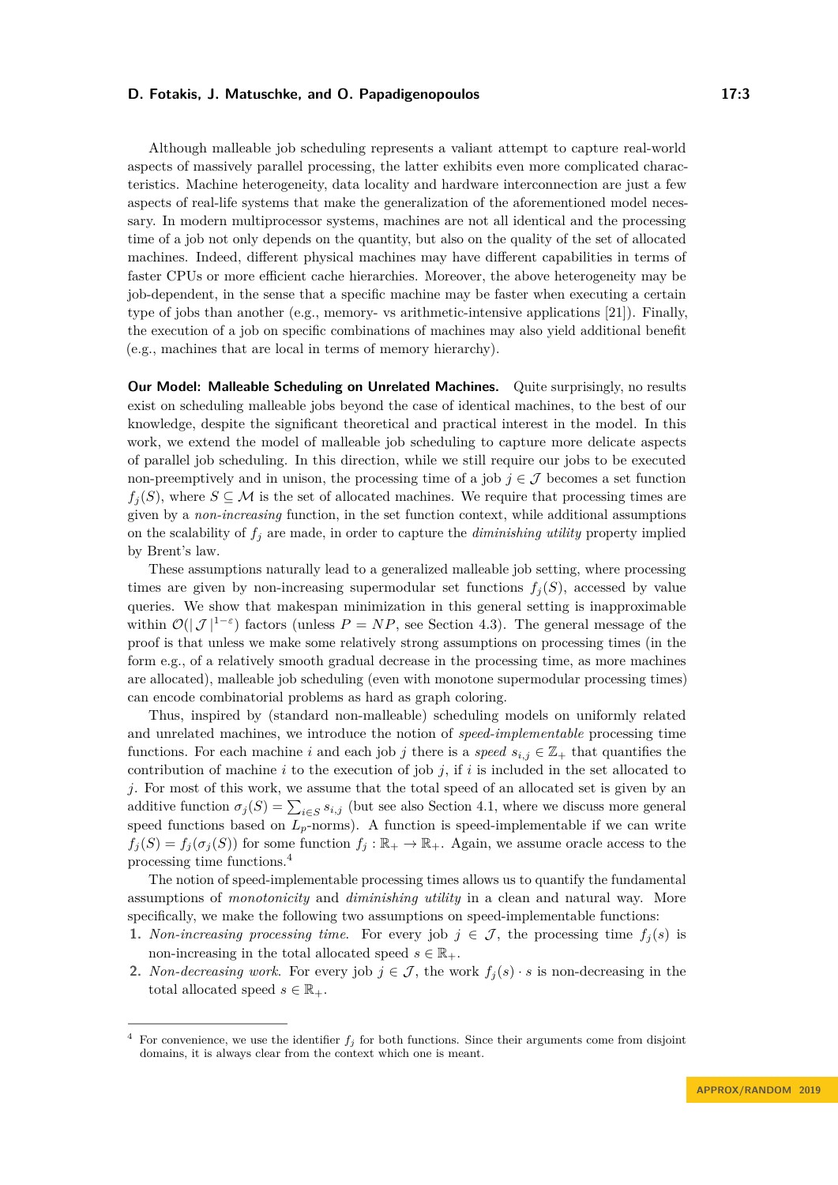Although malleable job scheduling represents a valiant attempt to capture real-world aspects of massively parallel processing, the latter exhibits even more complicated characteristics. Machine heterogeneity, data locality and hardware interconnection are just a few aspects of real-life systems that make the generalization of the aforementioned model necessary. In modern multiprocessor systems, machines are not all identical and the processing time of a job not only depends on the quantity, but also on the quality of the set of allocated machines. Indeed, different physical machines may have different capabilities in terms of faster CPUs or more efficient cache hierarchies. Moreover, the above heterogeneity may be job-dependent, in the sense that a specific machine may be faster when executing a certain type of jobs than another (e.g., memory- vs arithmetic-intensive applications [\[21\]](#page-13-4)). Finally, the execution of a job on specific combinations of machines may also yield additional benefit (e.g., machines that are local in terms of memory hierarchy).

**Our Model: Malleable Scheduling on Unrelated Machines.** Quite surprisingly, no results exist on scheduling malleable jobs beyond the case of identical machines, to the best of our knowledge, despite the significant theoretical and practical interest in the model. In this work, we extend the model of malleable job scheduling to capture more delicate aspects of parallel job scheduling. In this direction, while we still require our jobs to be executed non-preemptively and in unison, the processing time of a job  $j \in \mathcal{J}$  becomes a set function  $f_i(S)$ , where  $S \subseteq \mathcal{M}$  is the set of allocated machines. We require that processing times are given by a *non-increasing* function, in the set function context, while additional assumptions on the scalability of  $f_j$  are made, in order to capture the *diminishing utility* property implied by Brent's law.

These assumptions naturally lead to a generalized malleable job setting, where processing times are given by non-increasing supermodular set functions  $f_i(S)$ , accessed by value queries. We show that makespan minimization in this general setting is inapproximable within  $\mathcal{O}(|\mathcal{J}|^{1-\epsilon})$  factors (unless  $P = NP$ , see Section [4.3\)](#page-12-7). The general message of the proof is that unless we make some relatively strong assumptions on processing times (in the form e.g., of a relatively smooth gradual decrease in the processing time, as more machines are allocated), malleable job scheduling (even with monotone supermodular processing times) can encode combinatorial problems as hard as graph coloring.

Thus, inspired by (standard non-malleable) scheduling models on uniformly related and unrelated machines, we introduce the notion of *speed-implementable* processing time functions. For each machine *i* and each job *j* there is a *speed*  $s_{i,j} \in \mathbb{Z}_+$  that quantifies the contribution of machine *i* to the execution of job *j*, if *i* is included in the set allocated to *j*. For most of this work, we assume that the total speed of an allocated set is given by an additive function  $\sigma_j(S) = \sum_{i \in S} s_{i,j}$  (but see also Section [4.1,](#page-10-0) where we discuss more general speed functions based on  $L_p$ -norms). A function is speed-implementable if we can write  $f_j(S) = f_j(\sigma_j(S))$  for some function  $f_j : \mathbb{R}_+ \to \mathbb{R}_+$ . Again, we assume oracle access to the processing time functions.[4](#page-2-0)

The notion of speed-implementable processing times allows us to quantify the fundamental assumptions of *monotonicity* and *diminishing utility* in a clean and natural way. More specifically, we make the following two assumptions on speed-implementable functions:

- **1.** *Non-increasing processing time.* For every job  $j \in \mathcal{J}$ , the processing time  $f_i(s)$  is non-increasing in the total allocated speed  $s \in \mathbb{R}_+$ .
- **2.** *Non-decreasing work*. For every job  $j \in \mathcal{J}$ , the work  $f_j(s) \cdot s$  is non-decreasing in the total allocated speed  $s \in \mathbb{R}_+$ .

<span id="page-2-0"></span>For convenience, we use the identifier  $f_j$  for both functions. Since their arguments come from disjoint domains, it is always clear from the context which one is meant.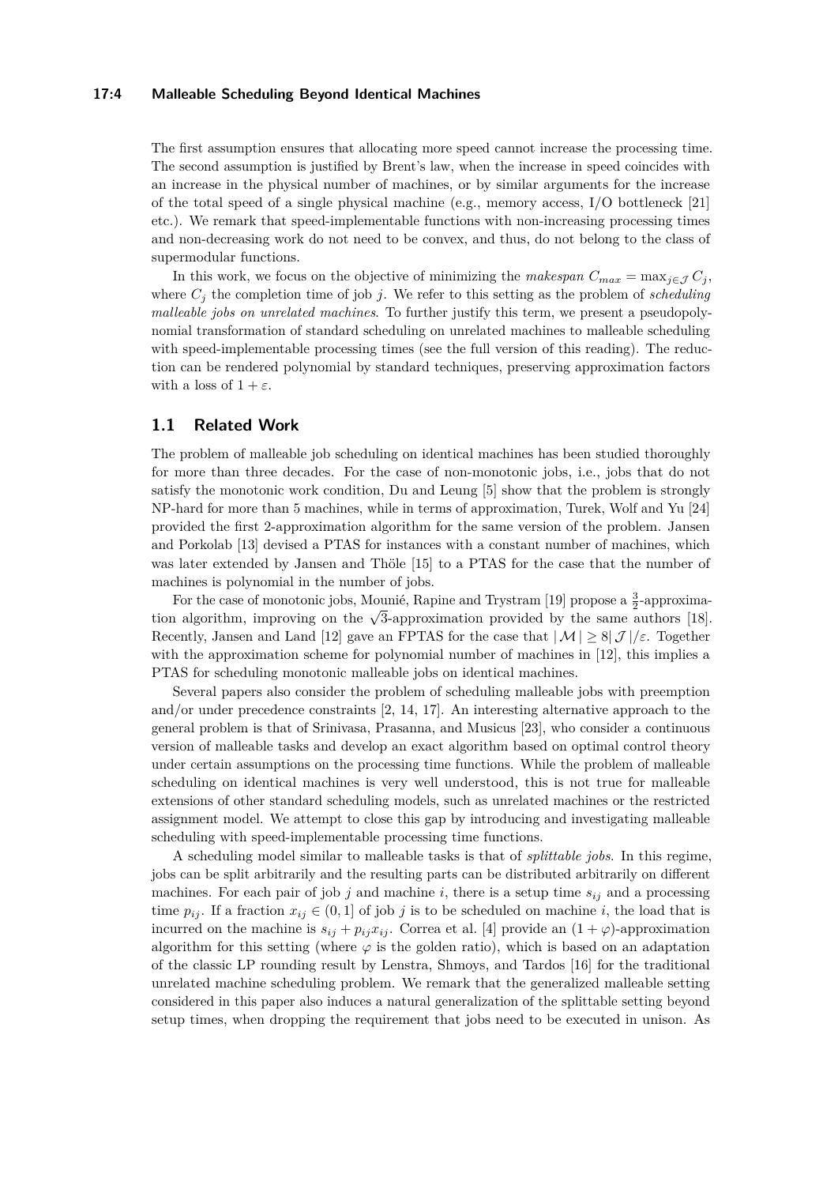#### **17:4 Malleable Scheduling Beyond Identical Machines**

The first assumption ensures that allocating more speed cannot increase the processing time. The second assumption is justified by Brent's law, when the increase in speed coincides with an increase in the physical number of machines, or by similar arguments for the increase of the total speed of a single physical machine (e.g., memory access, I/O bottleneck [\[21\]](#page-13-4) etc.). We remark that speed-implementable functions with non-increasing processing times and non-decreasing work do not need to be convex, and thus, do not belong to the class of supermodular functions.

In this work, we focus on the objective of minimizing the *makespan*  $C_{max} = \max_{j \in J} C_j$ , where  $C_j$  the completion time of job *j*. We refer to this setting as the problem of *scheduling malleable jobs on unrelated machines*. To further justify this term, we present a pseudopolynomial transformation of standard scheduling on unrelated machines to malleable scheduling with speed-implementable processing times (see the full version of this reading). The reduction can be rendered polynomial by standard techniques, preserving approximation factors with a loss of  $1 + \varepsilon$ .

## **1.1 Related Work**

The problem of malleable job scheduling on identical machines has been studied thoroughly for more than three decades. For the case of non-monotonic jobs, i.e., jobs that do not satisfy the monotonic work condition, Du and Leung [\[5\]](#page-12-4) show that the problem is strongly NP-hard for more than 5 machines, while in terms of approximation, Turek, Wolf and Yu [\[24\]](#page-13-3) provided the first 2-approximation algorithm for the same version of the problem. Jansen and Porkolab [\[13\]](#page-13-5) devised a PTAS for instances with a constant number of machines, which was later extended by Jansen and Thöle [\[15\]](#page-13-6) to a PTAS for the case that the number of machines is polynomial in the number of jobs.

For the case of monotonic jobs, Mounié, Rapine and Trystram [\[19\]](#page-13-7) propose a  $\frac{3}{2}$ -approxima-For the case of monotome jobs, Mounte, it applies and Trystram [19] propose a  $\frac{1}{2}$ -approximation algorithm, improving on the √3-approximation provided by the same authors [\[18\]](#page-13-8). Recently, Jansen and Land [\[12\]](#page-13-9) gave an FPTAS for the case that  $|\mathcal{M}| \geq 8|\mathcal{J}|/\varepsilon$ . Together with the approximation scheme for polynomial number of machines in [\[12\]](#page-13-9), this implies a PTAS for scheduling monotonic malleable jobs on identical machines.

Several papers also consider the problem of scheduling malleable jobs with preemption and/or under precedence constraints [\[2,](#page-12-8) [14,](#page-13-10) [17\]](#page-13-11). An interesting alternative approach to the general problem is that of Srinivasa, Prasanna, and Musicus [\[23\]](#page-13-12), who consider a continuous version of malleable tasks and develop an exact algorithm based on optimal control theory under certain assumptions on the processing time functions. While the problem of malleable scheduling on identical machines is very well understood, this is not true for malleable extensions of other standard scheduling models, such as unrelated machines or the restricted assignment model. We attempt to close this gap by introducing and investigating malleable scheduling with speed-implementable processing time functions.

A scheduling model similar to malleable tasks is that of *splittable jobs*. In this regime, jobs can be split arbitrarily and the resulting parts can be distributed arbitrarily on different machines. For each pair of job  $j$  and machine  $i$ , there is a setup time  $s_{ij}$  and a processing time  $p_{ij}$ . If a fraction  $x_{ij} \in (0,1]$  of job *j* is to be scheduled on machine *i*, the load that is incurred on the machine is  $s_{ij} + p_{ij}x_{ij}$ . Correa et al. [\[4\]](#page-12-9) provide an  $(1 + \varphi)$ -approximation algorithm for this setting (where  $\varphi$  is the golden ratio), which is based on an adaptation of the classic LP rounding result by Lenstra, Shmoys, and Tardos [\[16\]](#page-13-13) for the traditional unrelated machine scheduling problem. We remark that the generalized malleable setting considered in this paper also induces a natural generalization of the splittable setting beyond setup times, when dropping the requirement that jobs need to be executed in unison. As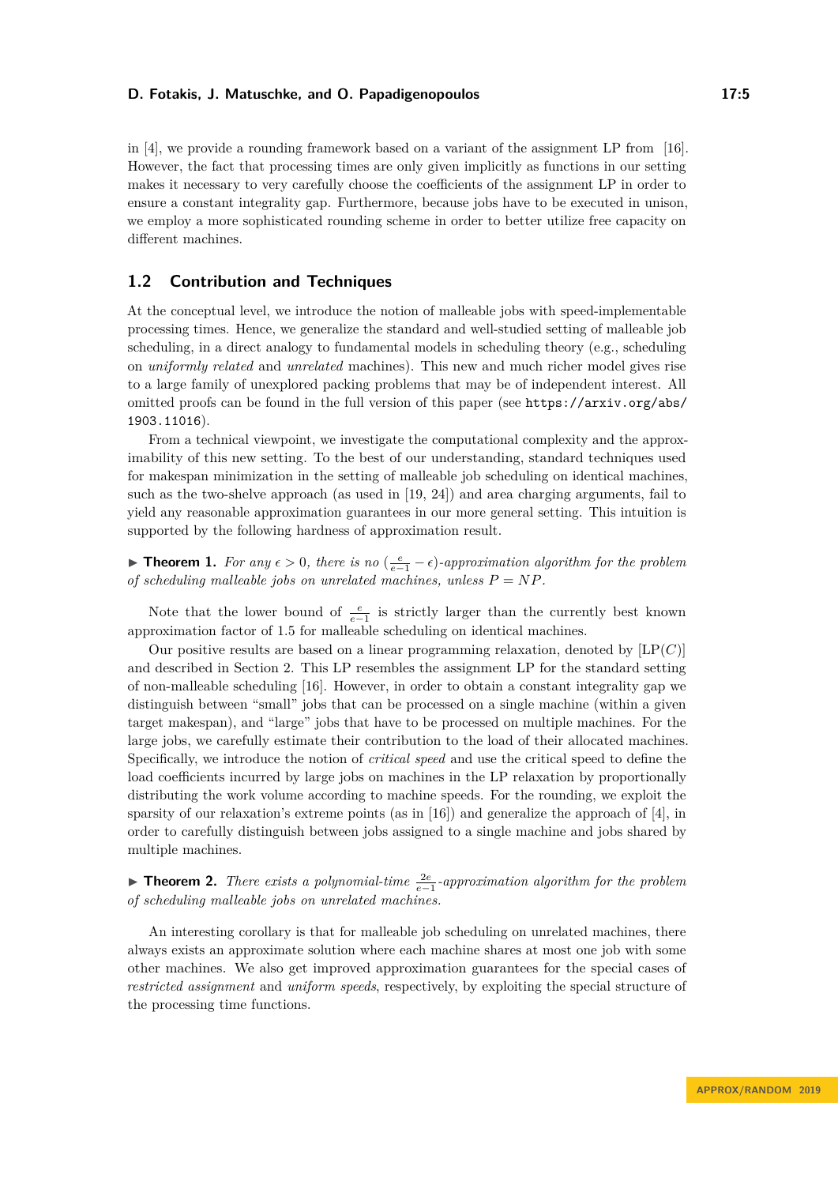in [\[4\]](#page-12-9), we provide a rounding framework based on a variant of the assignment LP from [\[16\]](#page-13-13). However, the fact that processing times are only given implicitly as functions in our setting makes it necessary to very carefully choose the coefficients of the assignment LP in order to ensure a constant integrality gap. Furthermore, because jobs have to be executed in unison, we employ a more sophisticated rounding scheme in order to better utilize free capacity on different machines.

## **1.2 Contribution and Techniques**

At the conceptual level, we introduce the notion of malleable jobs with speed-implementable processing times. Hence, we generalize the standard and well-studied setting of malleable job scheduling, in a direct analogy to fundamental models in scheduling theory (e.g., scheduling on *uniformly related* and *unrelated* machines). This new and much richer model gives rise to a large family of unexplored packing problems that may be of independent interest. All omitted proofs can be found in the full version of this paper (see [https://arxiv.org/abs/](https://arxiv.org/abs/1903.11016) [1903.11016](https://arxiv.org/abs/1903.11016)).

From a technical viewpoint, we investigate the computational complexity and the approximability of this new setting. To the best of our understanding, standard techniques used for makespan minimization in the setting of malleable job scheduling on identical machines, such as the two-shelve approach (as used in [\[19,](#page-13-7) [24\]](#page-13-3)) and area charging arguments, fail to yield any reasonable approximation guarantees in our more general setting. This intuition is supported by the following hardness of approximation result.

**► Theorem 1.** For any  $\epsilon > 0$ , there is no  $\left(\frac{e}{e-1} - \epsilon\right)$ -approximation algorithm for the problem *of scheduling malleable jobs on unrelated machines, unless*  $P = NP$ *.* 

Note that the lower bound of  $\frac{e}{e-1}$  is strictly larger than the currently best known approximation factor of 1*.*5 for malleable scheduling on identical machines.

Our positive results are based on a linear programming relaxation, denoted by  $[LP(C)]$ and described in Section [2.](#page-5-0) This LP resembles the assignment LP for the standard setting of non-malleable scheduling [\[16\]](#page-13-13). However, in order to obtain a constant integrality gap we distinguish between "small" jobs that can be processed on a single machine (within a given target makespan), and "large" jobs that have to be processed on multiple machines. For the large jobs, we carefully estimate their contribution to the load of their allocated machines. Specifically, we introduce the notion of *critical speed* and use the critical speed to define the load coefficients incurred by large jobs on machines in the LP relaxation by proportionally distributing the work volume according to machine speeds. For the rounding, we exploit the sparsity of our relaxation's extreme points (as in [\[16\]](#page-13-13)) and generalize the approach of [\[4\]](#page-12-9), in order to carefully distinguish between jobs assigned to a single machine and jobs shared by multiple machines.

<span id="page-4-0"></span>**► Theorem 2.** *There exists a polynomial-time*  $\frac{2e}{e-1}$ -approximation algorithm for the problem *of scheduling malleable jobs on unrelated machines.*

An interesting corollary is that for malleable job scheduling on unrelated machines, there always exists an approximate solution where each machine shares at most one job with some other machines. We also get improved approximation guarantees for the special cases of *restricted assignment* and *uniform speeds*, respectively, by exploiting the special structure of the processing time functions.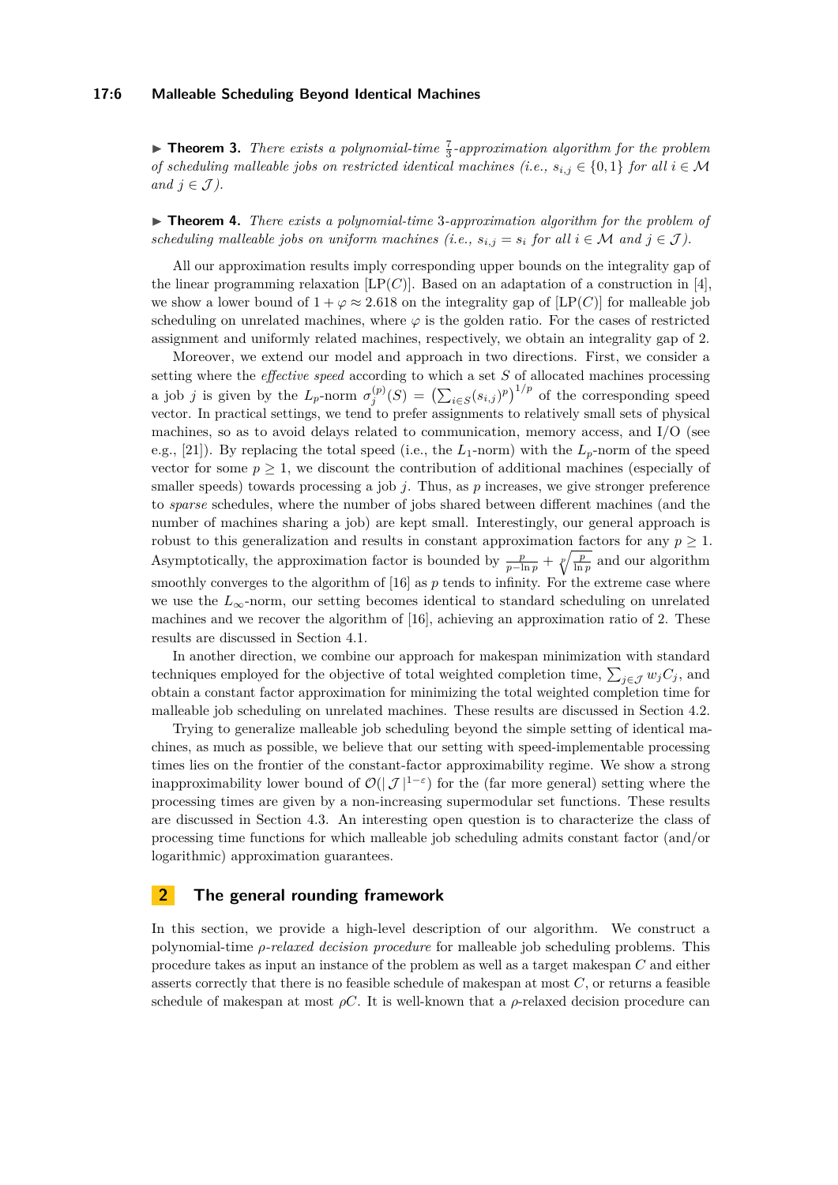#### **17:6 Malleable Scheduling Beyond Identical Machines**

**Theorem 3.** *There exists a polynomial-time*  $\frac{7}{3}$ -approximation algorithm for the problem *of scheduling malleable jobs on restricted identical machines (i.e.,*  $s_{i,j} \in \{0,1\}$  *for all*  $i \in \mathcal{M}$ *and*  $j \in \mathcal{J}$ *).* 

► **Theorem 4.** *There exists a polynomial-time* 3-approximation algorithm for the problem of *scheduling malleable jobs on uniform machines (i.e.,*  $s_{i,j} = s_i$  *for all*  $i \in \mathcal{M}$  *and*  $j \in \mathcal{J}$ *).* 

All our approximation results imply corresponding upper bounds on the integrality gap of the linear programming relaxation  $[LP(C)]$ . Based on an adaptation of a construction in [\[4\]](#page-12-9), we show a lower bound of  $1 + \varphi \approx 2.618$  on the integrality gap of [LP(*C*)] for malleable job scheduling on unrelated machines, where  $\varphi$  is the golden ratio. For the cases of restricted assignment and uniformly related machines, respectively, we obtain an integrality gap of 2.

Moreover, we extend our model and approach in two directions. First, we consider a setting where the *effective speed* according to which a set *S* of allocated machines processing a job *j* is given by the  $L_p$ -norm  $\sigma_j^{(p)}(S) = (\sum_{i \in S} (s_{i,j})^p)^{1/p}$  of the corresponding speed vector. In practical settings, we tend to prefer assignments to relatively small sets of physical machines, so as to avoid delays related to communication, memory access, and I/O (see e.g., [\[21\]](#page-13-4)). By replacing the total speed (i.e., the  $L_1$ -norm) with the  $L_p$ -norm of the speed vector for some  $p \geq 1$ , we discount the contribution of additional machines (especially of smaller speeds) towards processing a job  $j$ . Thus, as  $p$  increases, we give stronger preference to *sparse* schedules, where the number of jobs shared between different machines (and the number of machines sharing a job) are kept small. Interestingly, our general approach is robust to this generalization and results in constant approximation factors for any  $p \geq 1$ . Asymptotically, the approximation factor is bounded by  $\frac{p}{p-\ln p} + \sqrt[p]{\frac{p}{\ln p}}$  and our algorithm smoothly converges to the algorithm of [\[16\]](#page-13-13) as *p* tends to infinity. For the extreme case where we use the  $L_{\infty}$ -norm, our setting becomes identical to standard scheduling on unrelated machines and we recover the algorithm of [\[16\]](#page-13-13), achieving an approximation ratio of 2. These results are discussed in Section [4.1.](#page-10-0)

In another direction, we combine our approach for makespan minimization with standard techniques employed for the objective of total weighted completion time,  $\sum_{j \in \mathcal{J}} w_j C_j$ , and obtain a constant factor approximation for minimizing the total weighted completion time for malleable job scheduling on unrelated machines. These results are discussed in Section [4.2.](#page-11-0)

Trying to generalize malleable job scheduling beyond the simple setting of identical machines, as much as possible, we believe that our setting with speed-implementable processing times lies on the frontier of the constant-factor approximability regime. We show a strong inapproximability lower bound of  $\mathcal{O}(|\mathcal{J}|^{1-\varepsilon})$  for the (far more general) setting where the processing times are given by a non-increasing supermodular set functions. These results are discussed in Section [4.3.](#page-12-7) An interesting open question is to characterize the class of processing time functions for which malleable job scheduling admits constant factor (and/or logarithmic) approximation guarantees.

## <span id="page-5-0"></span>**2 The general rounding framework**

In this section, we provide a high-level description of our algorithm. We construct a polynomial-time *ρ-relaxed decision procedure* for malleable job scheduling problems. This procedure takes as input an instance of the problem as well as a target makespan *C* and either asserts correctly that there is no feasible schedule of makespan at most *C*, or returns a feasible schedule of makespan at most  $\rho C$ . It is well-known that a  $\rho$ -relaxed decision procedure can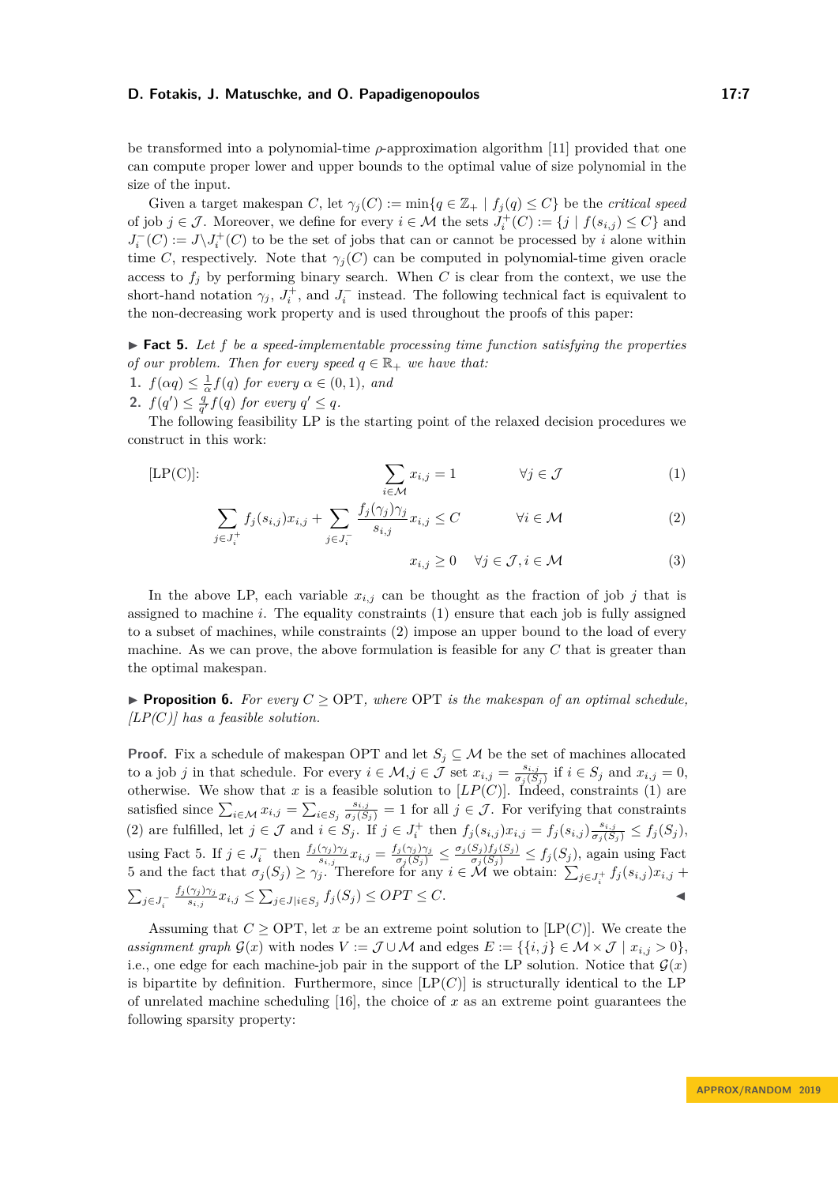be transformed into a polynomial-time *ρ*-approximation algorithm [\[11\]](#page-13-14) provided that one can compute proper lower and upper bounds to the optimal value of size polynomial in the size of the input.

Given a target makespan *C*, let  $\gamma_i(C) := \min\{q \in \mathbb{Z}_+ \mid f_i(q) \leq C\}$  be the *critical speed* of job  $j \in \mathcal{J}$ . Moreover, we define for every  $i \in \mathcal{M}$  the sets  $J_i^+(C) := \{j \mid f(s_{i,j}) \leq C\}$  and  $J_i^-(C) := J \backslash J_i^+(C)$  to be the set of jobs that can or cannot be processed by *i* alone within time *C*, respectively. Note that  $\gamma_i(C)$  can be computed in polynomial-time given oracle access to  $f_j$  by performing binary search. When *C* is clear from the context, we use the short-hand notation  $\gamma_j$ ,  $J_i^+$ , and  $J_i^-$  instead. The following technical fact is equivalent to the non-decreasing work property and is used throughout the proofs of this paper:

<span id="page-6-2"></span>► **Fact 5.** Let *f* be a speed-implementable processing time function satisfying the properties *of our problem. Then for every speed*  $q \in \mathbb{R}_+$  *we have that:* 

- **1.**  $f(\alpha q) \leq \frac{1}{\alpha} f(q)$  for every  $\alpha \in (0,1)$ , and
- **2.**  $f(q') \leq \frac{q}{q'} f(q)$  for every  $q' \leq q$ .

The following feasibility LP is the starting point of the relaxed decision procedures we construct in this work:

$$
[\text{LP}(\mathcal{C})]: \qquad \qquad \sum_{i \in \mathcal{M}} x_{i,j} = 1 \qquad \qquad \forall j \in \mathcal{J} \qquad (1)
$$

$$
\sum_{j \in J_i^+} f_j(s_{i,j}) x_{i,j} + \sum_{j \in J_i^-} \frac{f_j(\gamma_j) \gamma_j}{s_{i,j}} x_{i,j} \le C \qquad \forall i \in \mathcal{M}
$$
\n(2)

<span id="page-6-3"></span><span id="page-6-1"></span><span id="page-6-0"></span>
$$
x_{i,j} \ge 0 \quad \forall j \in \mathcal{J}, i \in \mathcal{M}
$$
 (3)

In the above LP, each variable  $x_{i,j}$  can be thought as the fraction of job *j* that is assigned to machine *i*. The equality constraints [\(1\)](#page-6-0) ensure that each job is fully assigned to a subset of machines, while constraints [\(2\)](#page-6-1) impose an upper bound to the load of every machine. As we can prove, the above formulation is feasible for any *C* that is greater than the optimal makespan.

**Proposition 6.** For every  $C \geq \text{OPT}$ , where OPT is the makespan of an optimal schedule, *[LP(C)] has a feasible solution.*

**Proof.** Fix a schedule of makespan OPT and let  $S_j \subseteq M$  be the set of machines allocated to a job *j* in that schedule. For every  $i \in \mathcal{M}, j \in \mathcal{J}$  set  $x_{i,j} = \frac{s_{i,j}}{\sigma_i(S)}$  $\frac{s_{i,j}}{\sigma_j(S_j)}$  if  $i \in S_j$  and  $x_{i,j} = 0$ , otherwise. We show that *x* is a feasible solution to  $[LP(C)]$ . Indeed, constraints [\(1\)](#page-6-0) are satisfied since  $\sum_{i \in \mathcal{M}} x_{i,j} = \sum_{i \in S_j} \frac{s_{i,j}}{\sigma_j(S_j)} = 1$  for all  $j \in \mathcal{J}$ . For verifying that constraints [\(2\)](#page-6-1) are fulfilled, let  $j \in \mathcal{J}$  and  $i \in S_j$ . If  $j \in J_i^+$  then  $f_j(s_{i,j})x_{i,j} = f_j(s_{i,j})\frac{s_{i,j}}{\sigma_j(S_j)} \leq f_j(S_j)$ , using Fact [5.](#page-6-2) If  $j \in J_i^-$  then  $\frac{f_j(\gamma_j)\gamma_j}{s_{i,j}}x_{i,j} = \frac{f_j(\gamma_j)\gamma_j}{\sigma_j(S_j)} \leq \frac{\sigma_j(S_j)f_j(S_j)}{\sigma_j(S_j)} \leq f_j(S_j)$ , again using Fact [5](#page-6-2) and the fact that  $\sigma_j(S_j) \geq \gamma_j$ . Therefore for any  $i \in \mathcal{M}$  we obtain:  $\sum_{j \in J_i^+} f_j(s_{i,j}) x_{i,j}$  +  $\sum_{j\in J_i^-}$ *f<sup>j</sup>* (*γ<sup>j</sup>* )*γ<sup>j</sup>*  $\sum_{s_{i,j}} x_{i,j} \leq \sum_{j \in J} |i \in S_j} f_j(S_j) \leq OPT \leq C.$ 

Assuming that  $C \geq \text{OPT}$ , let *x* be an extreme point solution to [LP(*C*)]. We create the *assignment graph*  $\mathcal{G}(x)$  with nodes  $V := \mathcal{J} \cup \mathcal{M}$  and edges  $E := \{ \{i, j\} \in \mathcal{M} \times \mathcal{J} \mid x_{i,j} > 0 \},$ i.e., one edge for each machine-job pair in the support of the LP solution. Notice that  $\mathcal{G}(x)$ is bipartite by definition. Furthermore, since  $[LP(C)]$  is structurally identical to the LP of unrelated machine scheduling [\[16\]](#page-13-13), the choice of *x* as an extreme point guarantees the following sparsity property: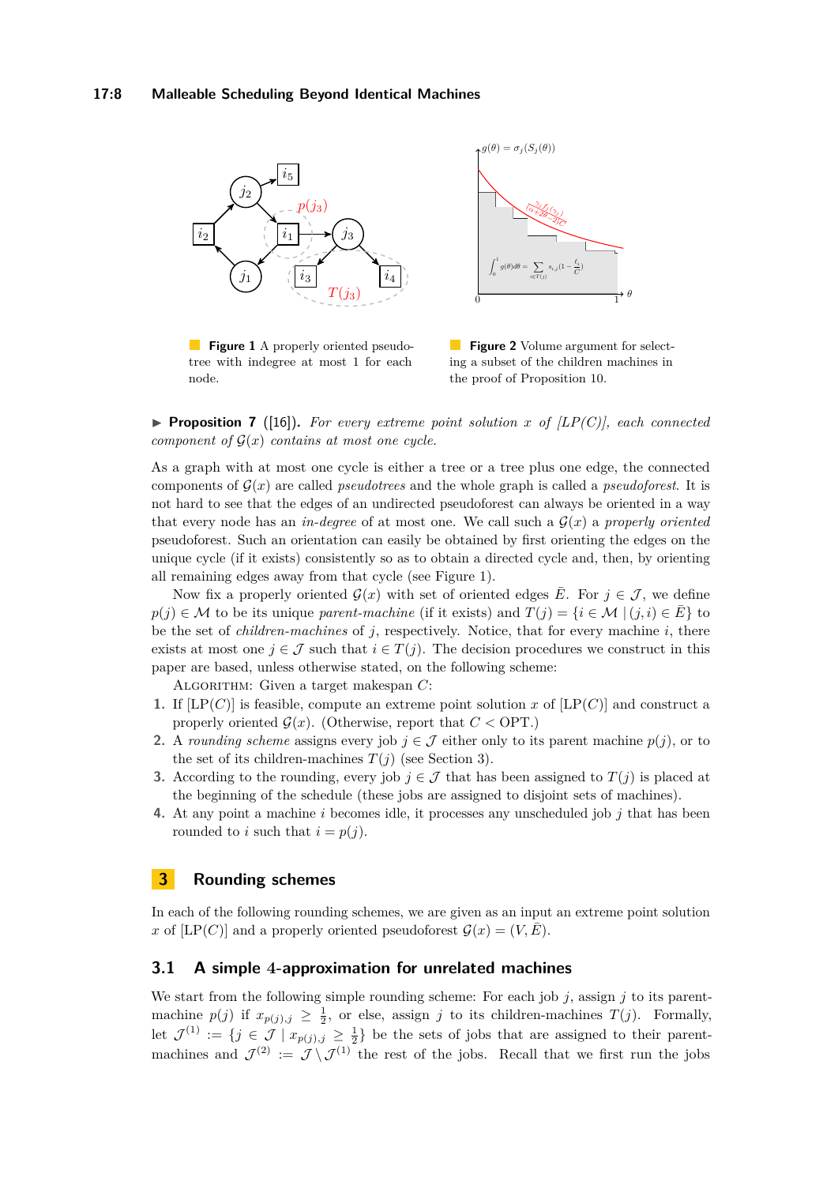<span id="page-7-0"></span>

**Figure 1** A properly oriented pseudotree with indegree at most 1 for each node.

**Figure 2** Volume argument for selecting a subset of the children machines in the proof of Proposition [10.](#page-9-0)

**Proposition 7** ([\[16\]](#page-13-13)). For every extreme point solution x of  $[LP(C)]$ , each connected *component of*  $\mathcal{G}(x)$  *contains at most one cycle.* 

As a graph with at most one cycle is either a tree or a tree plus one edge, the connected components of  $G(x)$  are called *pseudotrees* and the whole graph is called a *pseudoforest*. It is not hard to see that the edges of an undirected pseudoforest can always be oriented in a way that every node has an *in-degree* of at most one. We call such a  $\mathcal{G}(x)$  a *properly oriented* pseudoforest. Such an orientation can easily be obtained by first orienting the edges on the unique cycle (if it exists) consistently so as to obtain a directed cycle and, then, by orienting all remaining edges away from that cycle (see Figure [1\)](#page-7-0).

Now fix a properly oriented  $\mathcal{G}(x)$  with set of oriented edges  $\overline{E}$ . For  $j \in \mathcal{J}$ , we define  $p(j) \in \mathcal{M}$  to be its unique *parent-machine* (if it exists) and  $T(j) = \{i \in \mathcal{M} \mid (j,i) \in \overline{E}\}\)$  to be the set of *children-machines* of *j*, respectively. Notice, that for every machine *i*, there exists at most one  $j \in \mathcal{J}$  such that  $i \in T(j)$ . The decision procedures we construct in this paper are based, unless otherwise stated, on the following scheme:

ALGORITHM: Given a target makespan  $C$ :

- **1.** If  $[LP(C)]$  is feasible, compute an extreme point solution *x* of  $[LP(C)]$  and construct a properly oriented  $G(x)$ . (Otherwise, report that  $C <$  OPT.)
- **2.** A *rounding scheme* assigns every job  $j \in \mathcal{J}$  either only to its parent machine  $p(j)$ , or to the set of its children-machines  $T(j)$  (see Section [3\)](#page-7-1).
- **3.** According to the rounding, every job  $j \in \mathcal{J}$  that has been assigned to  $T(j)$  is placed at the beginning of the schedule (these jobs are assigned to disjoint sets of machines).
- **4.** At any point a machine *i* becomes idle, it processes any unscheduled job *j* that has been rounded to *i* such that  $i = p(j)$ .

## <span id="page-7-1"></span>**3 Rounding schemes**

In each of the following rounding schemes, we are given as an input an extreme point solution *x* of [LP(*C*)] and a properly oriented pseudoforest  $\mathcal{G}(x) = (V, \overline{E}).$ 

## <span id="page-7-2"></span>**3.1 A simple 4-approximation for unrelated machines**

We start from the following simple rounding scheme: For each job *j*, assign *j* to its parentmachine  $p(j)$  if  $x_{p(j),j} \geq \frac{1}{2}$ , or else, assign *j* to its children-machines *T*(*j*). Formally, let  $\mathcal{J}^{(1)} := \{j \in \mathcal{J} \mid x_{p(j),j} \geq \frac{1}{2}\}\$ be the sets of jobs that are assigned to their parentmachines and  $\mathcal{J}^{(2)} := \mathcal{J} \setminus \mathcal{J}^{(1)}$  the rest of the jobs. Recall that we first run the jobs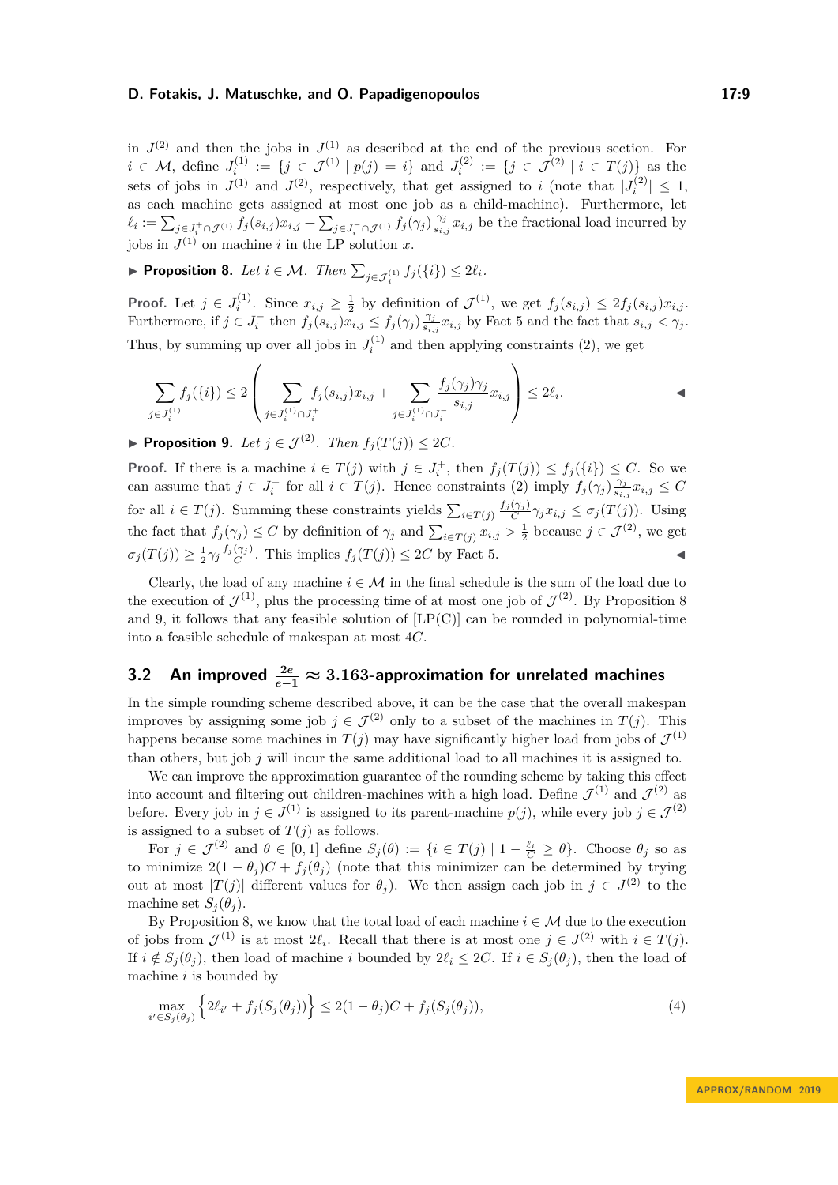in  $J^{(2)}$  and then the jobs in  $J^{(1)}$  as described at the end of the previous section. For  $i \in \mathcal{M}$ , define  $J_i^{(1)} := \{j \in \mathcal{J}^{(1)} | p(j) = i\}$  and  $J_i^{(2)} := \{j \in \mathcal{J}^{(2)} | i \in T(j)\}$  as the sets of jobs in  $J^{(1)}$  and  $J^{(2)}$ , respectively, that get assigned to *i* (note that  $|J_i^{(2)}| \leq 1$ , as each machine gets assigned at most one job as a child-machine). Furthermore, let  $\ell_i := \sum_{j \in J_i^+ \cap \mathcal{J}^{(1)}} f_j(s_{i,j}) x_{i,j} + \sum_{j \in J_i^- \cap \mathcal{J}^{(1)}} f_j(\gamma_j) \frac{\gamma_j}{s_{i,j}}$  $\frac{\gamma_j}{s_{i,j}} x_{i,j}$  be the fractional load incurred by jobs in  $J^{(1)}$  on machine *i* in the LP solution *x*.

<span id="page-8-0"></span>▶ **Proposition 8.** *Let*  $i \in \mathcal{M}$ *. Then*  $\sum_{j \in \mathcal{J}_i^{(1)}} f_j(\{i\}) \leq 2\ell_i$ *.* 

**Proof.** Let  $j \in J_i^{(1)}$ . Since  $x_{i,j} \geq \frac{1}{2}$  by definition of  $\mathcal{J}^{(1)}$ , we get  $f_j(s_{i,j}) \leq 2f_j(s_{i,j})x_{i,j}$ . Furthermore, if  $j \in J_i^-$  then  $f_j(s_{i,j}) \overline{x_{i,j}} \leq f_j(\gamma_j) \frac{\gamma_j}{s_i}$  $\frac{\gamma_j}{s_{i,j}} x_{i,j}$  by Fact [5](#page-6-2) and the fact that  $s_{i,j} < \gamma_j$ . Thus, by summing up over all jobs in  $J_i^{(1)}$  and then applying constraints [\(2\)](#page-6-1), we get

$$
\sum_{j \in J_i^{(1)}} f_j(\{i\}) \le 2 \left( \sum_{j \in J_i^{(1)} \cap J_i^+} f_j(s_{i,j}) x_{i,j} + \sum_{j \in J_i^{(1)} \cap J_i^-} \frac{f_j(\gamma_j) \gamma_j}{s_{i,j}} x_{i,j} \right) \le 2\ell_i.
$$

<span id="page-8-1"></span>▶ **Proposition 9.** *Let*  $j \in \mathcal{J}^{(2)}$ *. Then*  $f_i(T(j)) \leq 2C$ *.* 

**Proof.** If there is a machine  $i \in T(j)$  with  $j \in J_i^+$ , then  $f_j(T(j)) \leq f_j(\{i\}) \leq C$ . So we can assume that  $j \in J_i^-$  for all  $i \in T(j)$ . Hence constraints [\(2\)](#page-6-1) imply  $f_j(\gamma_j) \frac{\gamma_j}{s_i}$  $\frac{\gamma_j}{s_{i,j}} x_{i,j} \leq C$ for all  $i \in T(j)$ . Summing these constraints yields  $\sum_{i \in T(j)} \frac{f_i(\gamma_i)}{C} \gamma_i x_{i,j} \leq \sigma_j(T(j))$ . Using the fact that  $f_j(\gamma_j) \leq C$  by definition of  $\gamma_j$  and  $\sum_{i \in T(j)} x_{i,j} > \frac{1}{2}$  because  $j \in \mathcal{J}^{(2)}$ , we get  $\sigma_j(T(j)) \geq \frac{1}{2}\gamma_j \frac{f_j(\gamma_j)}{C}$ . This implies  $f_j(T(j)) \leq 2C$  by Fact [5.](#page-6-2)

Clearly, the load of any machine  $i \in \mathcal{M}$  in the final schedule is the sum of the load due to the execution of  $\mathcal{J}^{(1)}$ , plus the processing time of at most one job of  $\mathcal{J}^{(2)}$ . By Proposition [8](#page-8-0) and [9,](#page-8-1) it follows that any feasible solution of  $[LP(C)]$  can be rounded in polynomial-time into a feasible schedule of makespan at most 4*C*.

# **3.2 An improved <sup>2</sup>***<sup>e</sup> <sup>e</sup>***−<sup>1</sup> ≈ 3***.***163-approximation for unrelated machines**

In the simple rounding scheme described above, it can be the case that the overall makespan improves by assigning some job  $j \in \mathcal{J}^{(2)}$  only to a subset of the machines in  $T(j)$ . This happens because some machines in  $T(j)$  may have significantly higher load from jobs of  $\mathcal{J}^{(1)}$ than others, but job *j* will incur the same additional load to all machines it is assigned to.

We can improve the approximation guarantee of the rounding scheme by taking this effect into account and filtering out children-machines with a high load. Define  $\mathcal{J}^{(1)}$  and  $\mathcal{J}^{(2)}$  as before. Every job in  $j \in J^{(1)}$  is assigned to its parent-machine  $p(j)$ , while every job  $j \in J^{(2)}$ is assigned to a subset of  $T(j)$  as follows.

For  $j \in \mathcal{J}^{(2)}$  and  $\theta \in [0,1]$  define  $S_j(\theta) := \{i \in T(j) \mid 1 - \frac{\ell_i}{C} \geq \theta\}$ . Choose  $\theta_j$  so as to minimize  $2(1 - \theta_i)C + f_i(\theta_i)$  (note that this minimizer can be determined by trying out at most  $|T(j)|$  different values for  $\theta_j$ ). We then assign each job in  $j \in J^{(2)}$  to the machine set  $S_i(\theta_i)$ .

By Proposition [8,](#page-8-0) we know that the total load of each machine  $i \in \mathcal{M}$  due to the execution of jobs from  $\mathcal{J}^{(1)}$  is at most  $2\ell_i$ . Recall that there is at most one  $j \in \mathcal{J}^{(2)}$  with  $i \in \mathcal{T}(j)$ . If  $i \notin S_i(\theta_i)$ , then load of machine *i* bounded by  $2\ell_i \leq 2C$ . If  $i \in S_j(\theta_j)$ , then the load of machine *i* is bounded by

<span id="page-8-2"></span>
$$
\max_{i' \in S_j(\theta_j)} \left\{ 2\ell_{i'} + f_j(S_j(\theta_j)) \right\} \le 2(1 - \theta_j)C + f_j(S_j(\theta_j)),\tag{4}
$$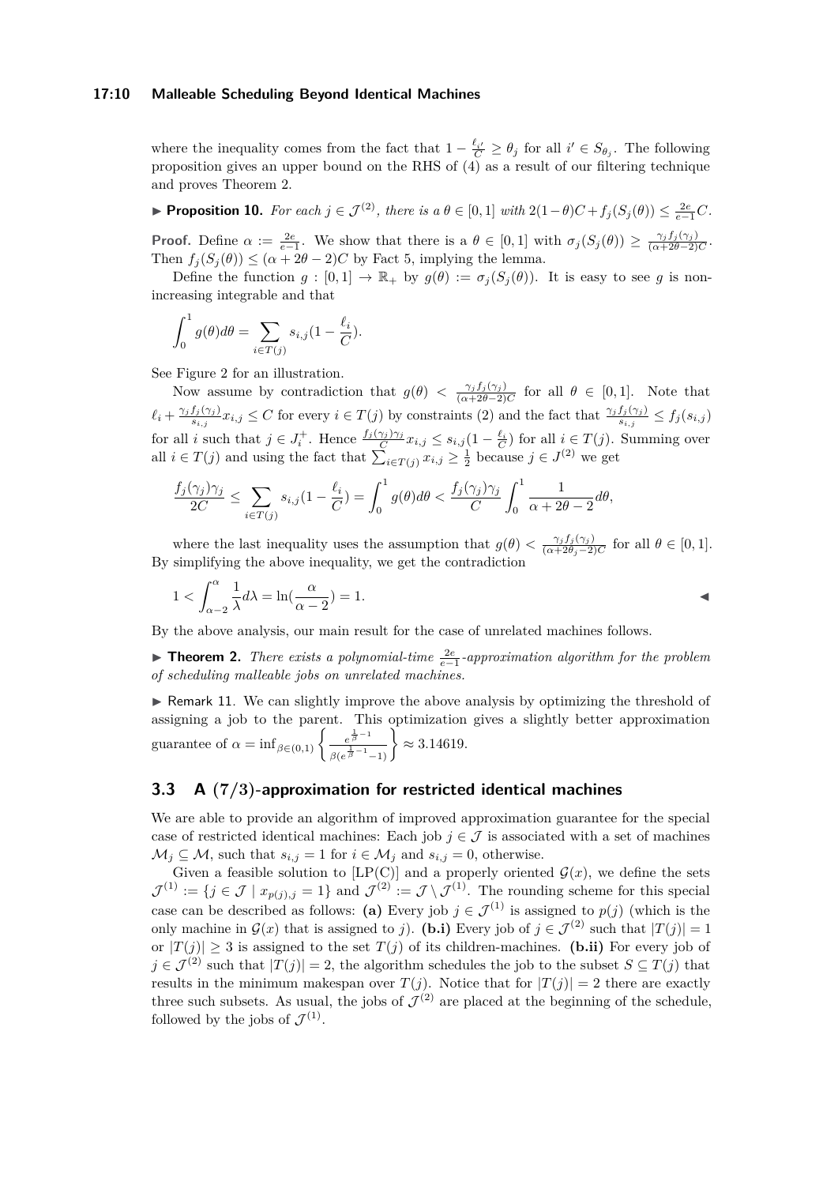#### **17:10 Malleable Scheduling Beyond Identical Machines**

where the inequality comes from the fact that  $1 - \frac{\ell_{i'}}{C} \geq \theta_j$  for all  $i' \in S_{\theta_j}$ . The following proposition gives an upper bound on the RHS of [\(4\)](#page-8-2) as a result of our filtering technique and proves Theorem [2.](#page-4-0)

<span id="page-9-0"></span>► **Proposition 10.** For each  $j \in \mathcal{J}^{(2)}$ , there is a  $\theta \in [0,1]$  with  $2(1-\theta)C + f_j(S_j(\theta)) \leq \frac{2e}{e-1}C$ .

**Proof.** Define  $\alpha := \frac{2e}{e-1}$ . We show that there is a  $\theta \in [0,1]$  with  $\sigma_j(S_j(\theta)) \geq \frac{\gamma_j f_j(\gamma_j)}{(\alpha+2\theta-2)C}$ . Then  $f_i(S_i(\theta)) \leq (\alpha + 2\theta - 2)C$  by Fact [5,](#page-6-2) implying the lemma.

Define the function  $g : [0,1] \to \mathbb{R}_+$  by  $g(\theta) := \sigma_i(S_i(\theta))$ . It is easy to see g is nonincreasing integrable and that

$$
\int_0^1 g(\theta)d\theta = \sum_{i \in T(j)} s_{i,j} (1 - \frac{\ell_i}{C}).
$$

See Figure [2](#page-7-0) for an illustration.

Now assume by contradiction that  $g(\theta) < \frac{\gamma_j f_j(\gamma_j)}{(\alpha+2\theta-2)C}$  for all  $\theta \in [0,1]$ . Note that  $\ell_i + \frac{\gamma_j f_j(\gamma_j)}{s_{i,j}}$  $\frac{f_j(\gamma_j)}{s_{i,j}}x_{i,j} \leq C$  for every  $i \in T(j)$  by constraints [\(2\)](#page-6-1) and the fact that  $\frac{\gamma_j f_j(\gamma_j)}{s_{i,j}} \leq f_j(s_{i,j})$ for all *i* such that  $j \in J_i^+$ . Hence  $\frac{f_j(\gamma_j)\gamma_j}{C}x_{i,j} \leq s_{i,j}(1-\frac{\ell_i}{C})$  for all  $i \in T(j)$ . Summing over all  $i \in T(j)$  and using the fact that  $\sum_{i \in T(j)} x_{i,j} \geq \frac{1}{2}$  because  $j \in J^{(2)}$  we get

$$
\frac{f_j(\gamma_j)\gamma_j}{2C} \le \sum_{i \in T(j)} s_{i,j} (1 - \frac{\ell_i}{C}) = \int_0^1 g(\theta) d\theta < \frac{f_j(\gamma_j)\gamma_j}{C} \int_0^1 \frac{1}{\alpha + 2\theta - 2} d\theta,
$$

where the last inequality uses the assumption that  $g(\theta) < \frac{\gamma_j f_j(\gamma_j)}{(\alpha+\gamma \theta) - \gamma}$  $\frac{\gamma_j J_j(\gamma_j)}{(\alpha+2\theta_j-2)C}$  for all  $\theta \in [0,1].$ By simplifying the above inequality, we get the contradiction

$$
1 < \int_{\alpha-2}^{\alpha} \frac{1}{\lambda} d\lambda = \ln(\frac{\alpha}{\alpha-2}) = 1.
$$

By the above analysis, our main result for the case of unrelated machines follows.

**► Theorem 2.** *There exists a polynomial-time*  $\frac{2e}{e-1}$ -approximation algorithm for the problem *of scheduling malleable jobs on unrelated machines.*

 $\triangleright$  Remark 11. We can slightly improve the above analysis by optimizing the threshold of assigning a job to the parent. This optimization gives a slightly better approximation guarantee of  $\alpha = \inf_{\beta \in (0,1)} \left\{ \frac{e^{\frac{1}{\beta}-1}}{e^{\frac{1}{\beta}-1}} \right\}$  $\frac{e^{\frac{1}{\beta}-1}}{\beta(e^{\frac{1}{\beta}-1}-1)}$   $\geq 3.14619.$ 

# **3.3 A (7***/***3)-approximation for restricted identical machines**

We are able to provide an algorithm of improved approximation guarantee for the special case of restricted identical machines: Each job  $j \in \mathcal{J}$  is associated with a set of machines  $\mathcal{M}_j \subseteq \mathcal{M}$ , such that  $s_{i,j} = 1$  for  $i \in \mathcal{M}_j$  and  $s_{i,j} = 0$ , otherwise.

Given a feasible solution to  $[LP(C)]$  and a properly oriented  $\mathcal{G}(x)$ , we define the sets  $\mathcal{J}^{(1)} := \{j \in \mathcal{J} \mid x_{p(j),j} = 1\}$  and  $\mathcal{J}^{(2)} := \mathcal{J} \setminus \mathcal{J}^{(1)}$ . The rounding scheme for this special case can be described as follows: **(a)** Every job  $j \in \mathcal{J}^{(1)}$  is assigned to  $p(j)$  (which is the only machine in  $\mathcal{G}(x)$  that is assigned to *j*). **(b.i)** Every job of  $j \in \mathcal{J}^{(2)}$  such that  $|T(j)| = 1$ or  $|T(j)| \geq 3$  is assigned to the set  $T(j)$  of its children-machines. (b.ii) For every job of  $j \in \mathcal{J}^{(2)}$  such that  $|T(j)| = 2$ , the algorithm schedules the job to the subset  $S \subseteq T(j)$  that results in the minimum makespan over  $T(j)$ . Notice that for  $|T(j)| = 2$  there are exactly three such subsets. As usual, the jobs of  $\mathcal{J}^{(2)}$  are placed at the beginning of the schedule, followed by the jobs of  $\mathcal{J}^{(1)}$ .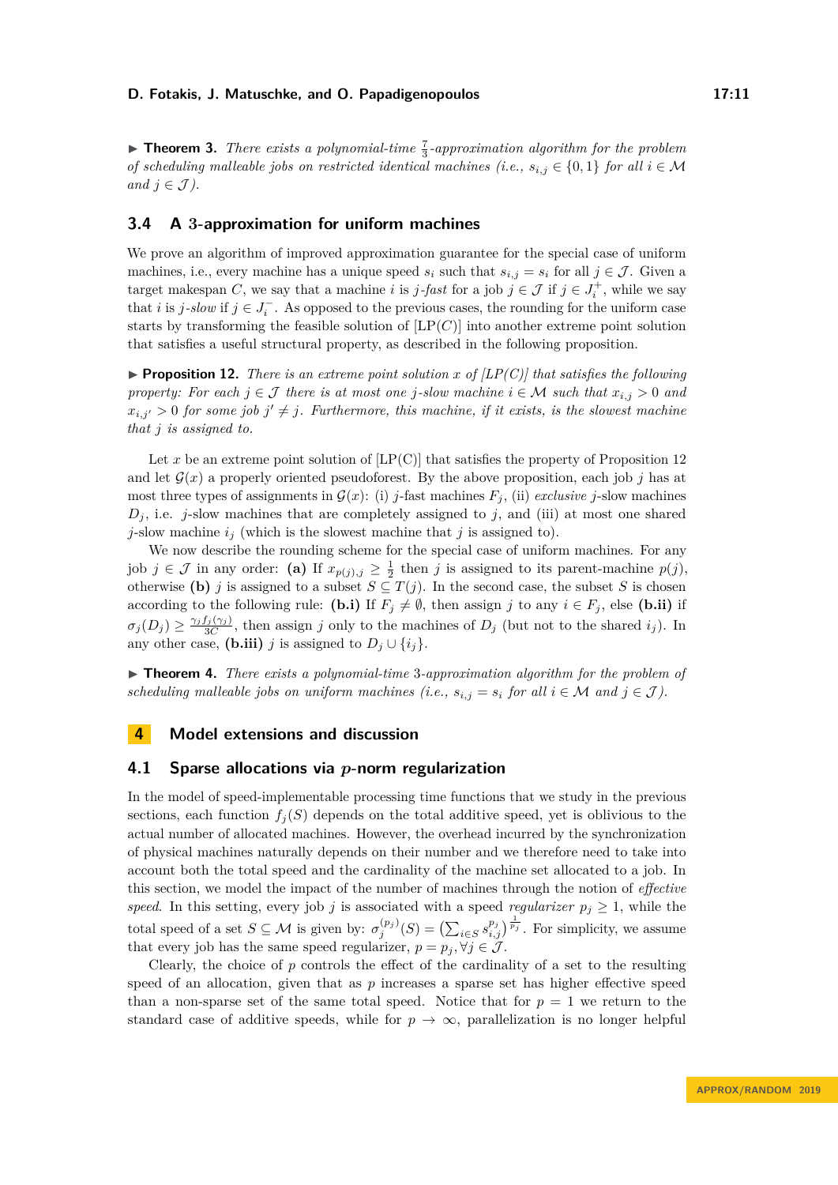**Theorem 3.** *There exists a polynomial-time*  $\frac{7}{3}$ -approximation algorithm for the problem *of scheduling malleable jobs on restricted identical machines (i.e.,*  $s_{i,j} \in \{0,1\}$  *for all*  $i \in \mathcal{M}$ *and*  $j \in \mathcal{J}$ *)*.

## **3.4 A 3-approximation for uniform machines**

We prove an algorithm of improved approximation guarantee for the special case of uniform machines, i.e., every machine has a unique speed  $s_i$  such that  $s_{i,j} = s_i$  for all  $j \in \mathcal{J}$ . Given a target makespan *C*, we say that a machine *i* is *j*-fast for a job  $j \in \mathcal{J}$  if  $j \in J_i^+$ , while we say that *i* is *j*-*slow* if  $j \in J_i^-$ . As opposed to the previous cases, the rounding for the uniform case starts by transforming the feasible solution of [LP(*C*)] into another extreme point solution that satisfies a useful structural property, as described in the following proposition.

<span id="page-10-1"></span>**Proposition 12.** *There is an extreme point solution x* of  $|LP(C)|$  that satisfies the following *property:* For each  $j \in \mathcal{J}$  there is at most one *j*-slow machine  $i \in \mathcal{M}$  such that  $x_{i,j} > 0$  and  $x_{i,j'} > 0$  for some job  $j' \neq j$ . Furthermore, this machine, if it exists, is the slowest machine *that j is assigned to.*

Let x be an extreme point solution of  $[LP(C)]$  that satisfies the property of Proposition [12](#page-10-1) and let  $G(x)$  a properly oriented pseudoforest. By the above proposition, each job *j* has at most three types of assignments in  $\mathcal{G}(x)$ : (i) *j*-fast machines  $F_i$ , (ii) *exclusive j*-slow machines  $D_j$ , i.e. *j*-slow machines that are completely assigned to *j*, and (iii) at most one shared *j*-slow machine *i<sup>j</sup>* (which is the slowest machine that *j* is assigned to).

We now describe the rounding scheme for the special case of uniform machines. For any job  $j \in \mathcal{J}$  in any order: (a) If  $x_{p(j),j} \geq \frac{1}{2}$  then *j* is assigned to its parent-machine  $p(j)$ , otherwise (b) *j* is assigned to a subset  $S \subseteq T(j)$ . In the second case, the subset *S* is chosen according to the following rule: **(b.i)** If  $F_j \neq \emptyset$ , then assign *j* to any  $i \in F_j$ , else **(b.ii)** if  $\sigma_j(D_j) \geq \frac{\gamma_j f_j(\gamma_j)}{3C}$ , then assign *j* only to the machines of  $D_j$  (but not to the shared *i<sub>j</sub>*). In any other case, **(b.iii)** *j* is assigned to  $D_i \cup \{i_j\}$ .

► **Theorem 4.** *There exists a polynomial-time 3-approximation algorithm for the problem of scheduling malleable jobs on uniform machines (i.e.,*  $s_{i,j} = s_i$  *for all*  $i \in M$  *and*  $j \in J$ ).

## **4 Model extensions and discussion**

## <span id="page-10-0"></span>**4.1 Sparse allocations via** *p***-norm regularization**

In the model of speed-implementable processing time functions that we study in the previous sections, each function  $f_j(S)$  depends on the total additive speed, yet is oblivious to the actual number of allocated machines. However, the overhead incurred by the synchronization of physical machines naturally depends on their number and we therefore need to take into account both the total speed and the cardinality of the machine set allocated to a job. In this section, we model the impact of the number of machines through the notion of *effective speed.* In this setting, every job *j* is associated with a speed *regularizer*  $p_j \geq 1$ , while the total speed of a set  $S \subseteq \mathcal{M}$  is given by:  $\sigma_j^{(p_j)}(S) = \left(\sum_{i \in S} s_{i,j}^{p_j}\right)^{\frac{1}{p_j}}$ . For simplicity, we assume that every job has the same speed regularizer,  $p = p_j, \forall j \in \mathcal{J}$ .

Clearly, the choice of  $p$  controls the effect of the cardinality of a set to the resulting speed of an allocation, given that as  $p$  increases a sparse set has higher effective speed than a non-sparse set of the same total speed. Notice that for  $p = 1$  we return to the standard case of additive speeds, while for  $p \to \infty$ , parallelization is no longer helpful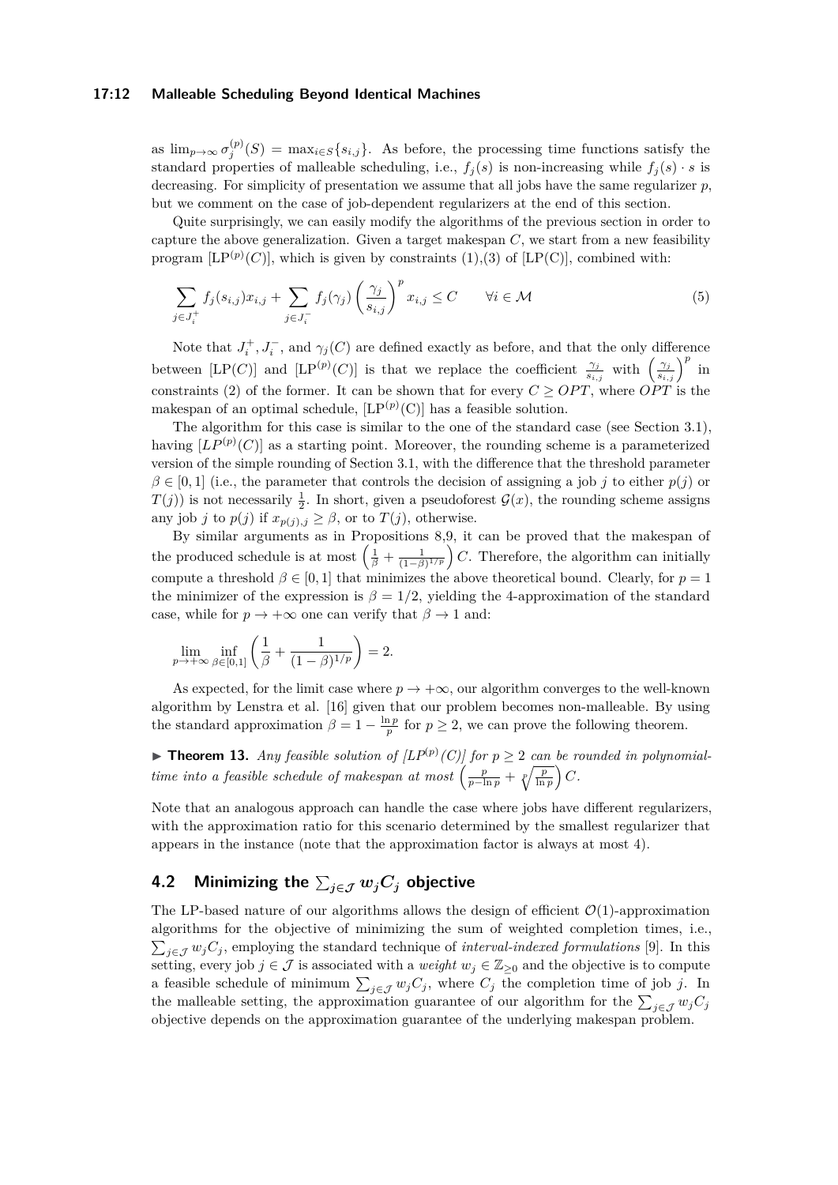#### **17:12 Malleable Scheduling Beyond Identical Machines**

as  $\lim_{p\to\infty} \sigma_j^{(p)}(S) = \max_{i \in S} \{s_{i,j}\}.$  As before, the processing time functions satisfy the standard properties of malleable scheduling, i.e.,  $f_i(s)$  is non-increasing while  $f_i(s) \cdot s$  is decreasing. For simplicity of presentation we assume that all jobs have the same regularizer *p*, but we comment on the case of job-dependent regularizers at the end of this section.

Quite surprisingly, we can easily modify the algorithms of the previous section in order to capture the above generalization. Given a target makespan *C*, we start from a new feasibility program  $[LP<sup>(p)</sup>(C)]$ , which is given by constraints  $(1),(3)$  $(1),(3)$  $(1),(3)$  of  $[LP(C)]$ , combined with:

$$
\sum_{j \in J_i^+} f_j(s_{i,j}) x_{i,j} + \sum_{j \in J_i^-} f_j(\gamma_j) \left(\frac{\gamma_j}{s_{i,j}}\right)^p x_{i,j} \le C \qquad \forall i \in \mathcal{M}
$$
\n(5)

Note that  $J_i^+, J_i^-,$  and  $\gamma_j(C)$  are defined exactly as before, and that the only difference between [LP(*C*)] and [LP<sup>(*p*)</sup>(*C*)] is that we replace the coefficient  $\frac{\gamma_j}{s_{i,j}}$  with  $\left(\frac{\gamma_j}{s_{i,j}}\right)^p$  in constraints [\(2\)](#page-6-1) of the former. It can be shown that for every  $C \geq OPT$ , where *OPT* is the makespan of an optimal schedule,  $[LP^{(p)}(C)]$  has a feasible solution.

The algorithm for this case is similar to the one of the standard case (see Section [3.1\)](#page-7-2), having  $[LP^{(p)}(C)]$  as a starting point. Moreover, the rounding scheme is a parameterized version of the simple rounding of Section [3.1,](#page-7-2) with the difference that the threshold parameter  $\beta \in [0,1]$  (i.e., the parameter that controls the decision of assigning a job *j* to either *p*(*j*) or  $T(j)$ ) is not necessarily  $\frac{1}{2}$ . In short, given a pseudoforest  $\mathcal{G}(x)$ , the rounding scheme assigns any job *j* to  $p(j)$  if  $x_{p(j),j} \geq \beta$ , or to  $T(j)$ , otherwise.

By similar arguments as in Propositions [8,](#page-8-0)[9,](#page-8-1) it can be proved that the makespan of the produced schedule is at most  $\left(\frac{1}{\beta} + \frac{1}{(1-\beta)^{1/p}}\right)C$ . Therefore, the algorithm can initially compute a threshold  $\beta \in [0, 1]$  that minimizes the above theoretical bound. Clearly, for  $p = 1$ the minimizer of the expression is  $\beta = 1/2$ , yielding the 4-approximation of the standard case, while for  $p \to +\infty$  one can verify that  $\beta \to 1$  and:

$$
\lim_{p \to +\infty} \inf_{\beta \in [0,1]} \left( \frac{1}{\beta} + \frac{1}{(1-\beta)^{1/p}} \right) = 2.
$$

As expected, for the limit case where  $p \to +\infty$ , our algorithm converges to the well-known algorithm by Lenstra et al. [\[16\]](#page-13-13) given that our problem becomes non-malleable. By using the standard approximation  $\beta = 1 - \frac{\ln p}{p}$  for  $p \ge 2$ , we can prove the following theorem.

**Figure 13.** Any feasible solution of  $\left[LP^{(p)}(C)\right]$  for  $p \geq 2$  can be rounded in polynomial*time into a feasible schedule of makespan at most*  $\left(\frac{p}{p-\ln p} + \sqrt[p]{\frac{p}{\ln p}}\right)C$ *.* 

Note that an analogous approach can handle the case where jobs have different regularizers, with the approximation ratio for this scenario determined by the smallest regularizer that appears in the instance (note that the approximation factor is always at most 4).

# <span id="page-11-0"></span><code>4.2 Minimizing the  $\sum_{j \in \mathcal{J}} w_j C_j$  objective</code>

The LP-based nature of our algorithms allows the design of efficient  $\mathcal{O}(1)$ -approximation algorithms for the objective of minimizing the sum of weighted completion times, i.e.,  $\sum_{j\in\mathcal{J}} w_j C_j$ , employing the standard technique of *interval-indexed formulations* [\[9\]](#page-12-10). In this setting, every job  $j \in \mathcal{J}$  is associated with a *weight*  $w_j \in \mathbb{Z}_{\geq 0}$  and the objective is to compute a feasible schedule of minimum  $\sum_{j\in\mathcal{J}} w_j C_j$ , where  $C_j$  the completion time of job *j*. In the malleable setting, the approximation guarantee of our algorithm for the  $\sum_{j\in\mathcal{J}} w_j C_j$ objective depends on the approximation guarantee of the underlying makespan problem.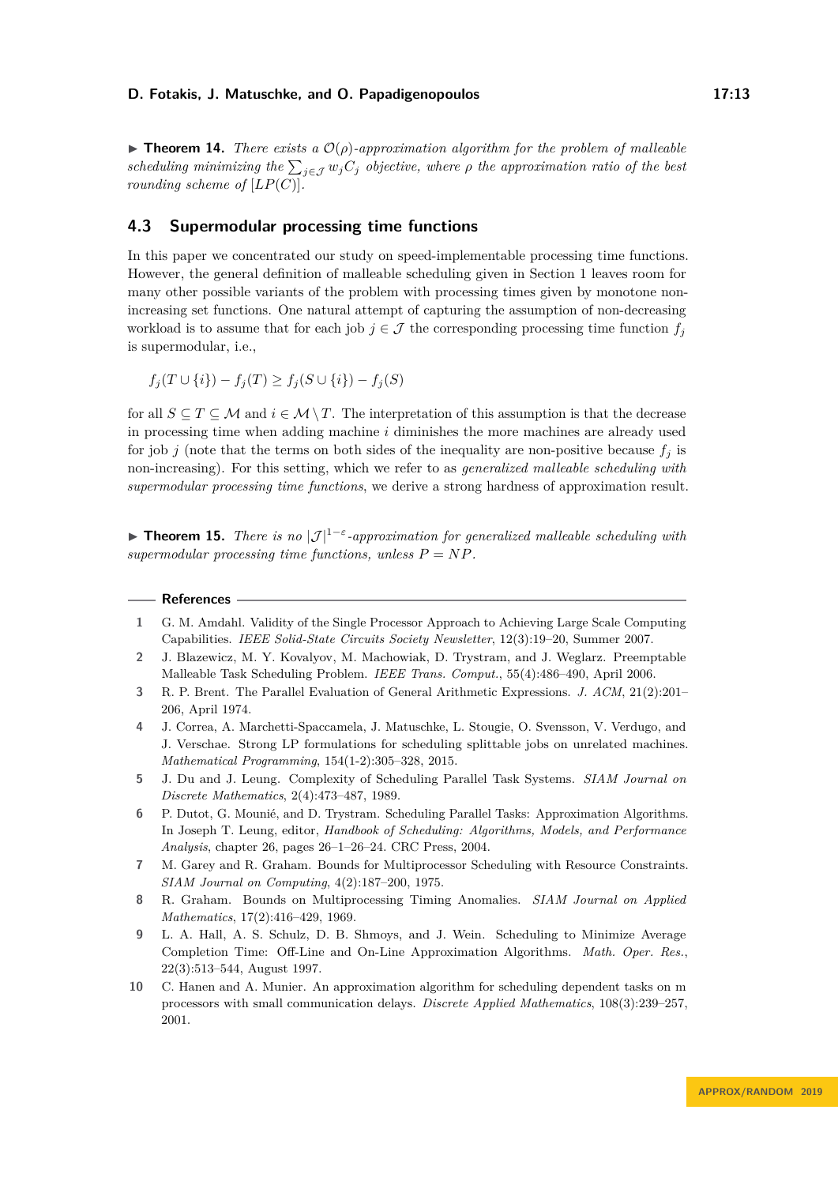**Findment 14.** *There exists a*  $\mathcal{O}(\rho)$ -approximation algorithm for the problem of malleable *scheduling minimizing the*  $\sum_{j \in \mathcal{J}} w_j C_j$  *objective, where*  $\rho$  *the approximation ratio of the best rounding scheme of*  $[LP(C)]$ .

## <span id="page-12-7"></span>**4.3 Supermodular processing time functions**

In this paper we concentrated our study on speed-implementable processing time functions. However, the general definition of malleable scheduling given in Section [1](#page-1-3) leaves room for many other possible variants of the problem with processing times given by monotone nonincreasing set functions. One natural attempt of capturing the assumption of non-decreasing workload is to assume that for each job  $j \in \mathcal{J}$  the corresponding processing time function  $f_j$ is supermodular, i.e.,

$$
f_j(T \cup \{i\}) - f_j(T) \ge f_j(S \cup \{i\}) - f_j(S)
$$

for all  $S \subseteq T \subseteq \mathcal{M}$  and  $i \in \mathcal{M} \setminus T$ . The interpretation of this assumption is that the decrease in processing time when adding machine *i* diminishes the more machines are already used for job *j* (note that the terms on both sides of the inequality are non-positive because  $f_i$  is non-increasing). For this setting, which we refer to as *generalized malleable scheduling with supermodular processing time functions*, we derive a strong hardness of approximation result.

**Findment 15.** *There is no*  $|\mathcal{J}|^{1-\epsilon}$ -approximation for generalized malleable scheduling with *supermodular processing time functions, unless*  $P = NP$ *.* 

<span id="page-12-10"></span><span id="page-12-9"></span><span id="page-12-8"></span><span id="page-12-6"></span><span id="page-12-5"></span><span id="page-12-4"></span><span id="page-12-3"></span><span id="page-12-2"></span><span id="page-12-1"></span><span id="page-12-0"></span>

|                | References —                                                                                                                                                                                                                                              |
|----------------|-----------------------------------------------------------------------------------------------------------------------------------------------------------------------------------------------------------------------------------------------------------|
| $\mathbf{1}$   | G. M. Amdahl. Validity of the Single Processor Approach to Achieving Large Scale Computing<br>Capabilities. IEEE Solid-State Circuits Society Newsletter, 12(3):19-20, Summer 2007.                                                                       |
| $\overline{2}$ | J. Blazewicz, M. Y. Kovalyov, M. Machowiak, D. Trystram, and J. Weglarz. Preemptable<br>Malleable Task Scheduling Problem. IEEE Trans. Comput., 55(4):486-490, April 2006.                                                                                |
| 3              | R. P. Brent. The Parallel Evaluation of General Arithmetic Expressions. J. ACM, 21(2):201–<br>206, April 1974.                                                                                                                                            |
| 4              | J. Correa, A. Marchetti-Spaccamela, J. Matuschke, L. Stougie, O. Svensson, V. Verdugo, and<br>J. Verschae. Strong LP formulations for scheduling splittable jobs on unrelated machines.<br>Mathematical Programming, $154(1-2):305-328$ , $2015$ .        |
| 5              | J. Du and J. Leung. Complexity of Scheduling Parallel Task Systems. SIAM Journal on<br>Discrete Mathematics, $2(4):473-487$ , 1989.                                                                                                                       |
| 6              | P. Dutot, G. Mounié, and D. Trystram. Scheduling Parallel Tasks: Approximation Algorithms.<br>In Joseph T. Leung, editor, Handbook of Scheduling: Algorithms, Models, and Performance<br><i>Analysis</i> , chapter 26, pages 26-1-26-24. CRC Press, 2004. |
| 7              | M. Garey and R. Graham. Bounds for Multiprocessor Scheduling with Resource Constraints.<br>$SIAM\ Journal\ on\ Computing, 4(2):187-200, 1975.$                                                                                                            |
| 8              | R. Graham. Bounds on Multiprocessing Timing Anomalies. SIAM Journal on Applied<br>Mathematics, 17(2):416-429, 1969.                                                                                                                                       |
| 9              | L. A. Hall, A. S. Schulz, D. B. Shmoys, and J. Wein. Scheduling to Minimize Average<br>Completion Time: Off-Line and On-Line Approximation Algorithms. Math. Oper. Res.,<br>$22(3):513-544$ , August 1997.                                                |
| 10             | C. Hanen and A. Munier. An approximation algorithm for scheduling dependent tasks on m<br>processors with small communication delays. Discrete Applied Mathematics, 108(3):239-257,<br>2001.                                                              |